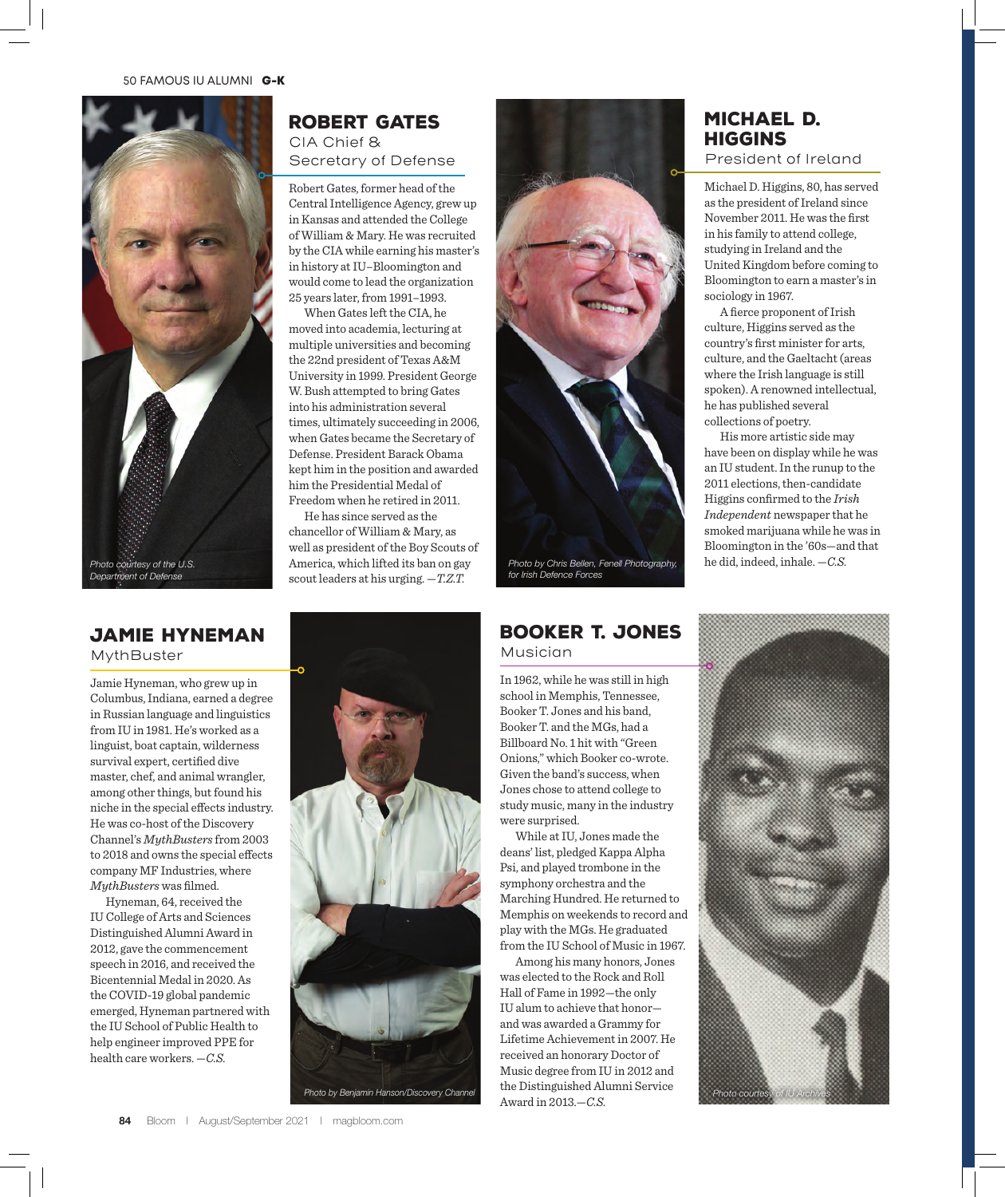

# Robert Gates CIA Chief & Secretary of Defense

Robert Gates, former head of the Central Intelligence Agency, grew up in Kansas and attended the College of William & Mary. He was recruited by the CIA while earning his master's in history at IU–Bloomington and would come to lead the organization 25 years later, from 1991–1993.

When Gates left the CIA, he moved into academia, lecturing at multiple universities and becoming the 22nd president of Texas A&M University in 1999. President George W. Bush attempted to bring Gates into his administration several times, ultimately succeeding in 2006, when Gates became the Secretary of Defense. President Barack Obama kept him in the position and awarded him the Presidential Medal of Freedom when he retired in 2011.

He has since served as the chancellor of William & Mary, as well as president of the Boy Scouts of America, which lifted its ban on gay scout leaders at his urging. —*T.Z.T.*



*Photo by Benjamin Hanson/Discovery Channel*



*Photo by Chris Bellen, Fenell Photography, for Irish Defence Forces*

### Booker T. Jones Musician

In 1962, while he was still in high school in Memphis, Tennessee, Booker T. Jones and his band, Booker T. and the MGs, had a Billboard No. 1 hit with "Green Onions," which Booker co-wrote. Given the band's success, when Jones chose to attend college to study music, many in the industry were surprised.

While at IU, Jones made the deans' list, pledged Kappa Alpha Psi, and played trombone in the symphony orchestra and the Marching Hundred. He returned to Memphis on weekends to record and play with the MGs. He graduated from the IU School of Music in 1967.

Among his many honors, Jones was elected to the Rock and Roll Hall of Fame in 1992—the only IU alum to achieve that honor and was awarded a Grammy for Lifetime Achievement in 2007. He received an honorary Doctor of Music degree from IU in 2012 and the Distinguished Alumni Service Award in 2013.—*C.S.*

# Michael D. **HIGGINS**

President of Ireland

Michael D. Higgins, 80, has served as the president of Ireland since November 2011. He was the first in his family to attend college, studying in Ireland and the United Kingdom before coming to Bloomington to earn a master's in sociology in 1967.

A fierce proponent of Irish culture, Higgins served as the country's first minister for arts, culture, and the Gaeltacht (areas where the Irish language is still spoken). A renowned intellectual, he has published several collections of poetry.

His more artistic side may have been on display while he was an IU student. In the runup to the 2011 elections, then-candidate Higgins confirmed to the *Irish Independent* newspaper that he smoked marijuana while he was in Bloomington in the '60s—and that he did, indeed, inhale. —*C.S.*



### Jamie Hyneman MythBuster

Jamie Hyneman, who grew up in Columbus, Indiana, earned a degree in Russian language and linguistics from IU in 1981. He's worked as a linguist, boat captain, wilderness survival expert, certified dive master, chef, and animal wrangler, among other things, but found his niche in the special effects industry. He was co-host of the Discovery Channel's *MythBusters* from 2003 to 2018 and owns the special effects company MF Industries, where *MythBusters* was filmed.

Hyneman, 64, received the IU College of Arts and Sciences Distinguished Alumni Award in 2012, gave the commencement speech in 2016, and received the Bicentennial Medal in 2020. As the COVID-19 global pandemic emerged, Hyneman partnered with the IU School of Public Health to help engineer improved PPE for health care workers. —*C.S.*